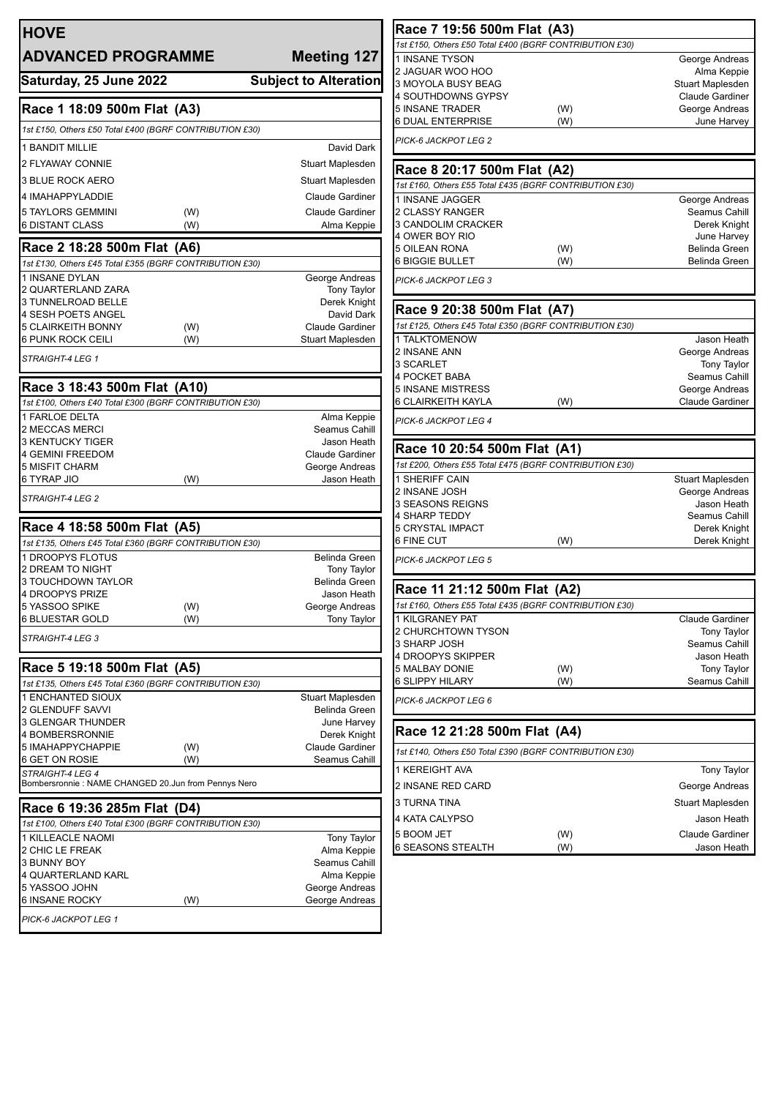| <b>HOVE</b>                                                                            |     |                                      |  |
|----------------------------------------------------------------------------------------|-----|--------------------------------------|--|
| <b>ADVANCED PROGRAMME</b>                                                              |     | <b>Meeting 127</b>                   |  |
| Saturday, 25 June 2022                                                                 |     | <b>Subject to Alteration</b>         |  |
| Race 1 18:09 500m Flat (A3)                                                            |     |                                      |  |
| 1st £150, Others £50 Total £400 (BGRF CONTRIBUTION £30)                                |     |                                      |  |
| <b>1 BANDIT MILLIE</b>                                                                 |     | David Dark                           |  |
| <b>2 FLYAWAY CONNIE</b>                                                                |     | Stuart Maplesden                     |  |
| <b>3 BLUE ROCK AERO</b>                                                                |     | Stuart Maplesden                     |  |
| 4 IMAHAPPYLADDIE                                                                       |     | <b>Claude Gardiner</b>               |  |
| 5 TAYLORS GEMMINI                                                                      | (W) | <b>Claude Gardiner</b>               |  |
| <b>6 DISTANT CLASS</b>                                                                 | (W) | Alma Keppie                          |  |
| Race 2 18:28 500m Flat (A6)                                                            |     |                                      |  |
| 1st £130, Others £45 Total £355 (BGRF CONTRIBUTION £30)                                |     |                                      |  |
| 1 INSANE DYLAN<br>2 QUARTERLAND ZARA                                                   |     | George Andreas<br><b>Tony Taylor</b> |  |
| 3 TUNNELROAD BELLE                                                                     |     | Derek Knight                         |  |
| 4 SESH POETS ANGEL                                                                     |     | David Dark                           |  |
| 5 CLAIRKEITH BONNY                                                                     | (W) | <b>Claude Gardiner</b>               |  |
| 6 PUNK ROCK CEILI                                                                      | (W) | Stuart Maplesden                     |  |
| STRAIGHT-4 LEG 1                                                                       |     |                                      |  |
| Race 3 18:43 500m Flat (A10)                                                           |     |                                      |  |
| 1st £100, Others £40 Total £300 (BGRF CONTRIBUTION £30)                                |     |                                      |  |
| 1 FARLOE DELTA<br>2 MECCAS MERCI                                                       |     | Alma Keppie<br>Seamus Cahill         |  |
| 3 KENTUCKY TIGER                                                                       |     | Jason Heath                          |  |
| <b>4 GEMINI FREEDOM</b>                                                                |     | <b>Claude Gardiner</b>               |  |
| 5 MISFIT CHARM                                                                         |     | George Andreas                       |  |
| 6 TYRAP JIO<br><b>STRAIGHT-4 LEG 2</b>                                                 | (W) | Jason Heath                          |  |
|                                                                                        |     |                                      |  |
| Race 4 18:58 500m Flat (A5)<br>1st £135, Others £45 Total £360 (BGRF CONTRIBUTION £30) |     |                                      |  |
| 1 DROOPYS FLOTUS                                                                       |     | <b>Belinda Green</b>                 |  |
| 2 DREAM TO NIGHT                                                                       |     | <b>Tony Taylor</b>                   |  |
| 3 TOUCHDOWN TAYLOR                                                                     |     | Belinda Green                        |  |
| 4 DROOPYS PRIZE<br>5 YASSOO SPIKE                                                      | (W) | Jason Heath<br>George Andreas        |  |
| 6 BLUESTAR GOLD                                                                        | (W) | <b>Tony Taylor</b>                   |  |
| STRAIGHT-4 LEG 3                                                                       |     |                                      |  |
| Race 5 19:18 500m Flat (A5)                                                            |     |                                      |  |
| 1st £135, Others £45 Total £360 (BGRF CONTRIBUTION £30)                                |     |                                      |  |
| 1 ENCHANTED SIOUX<br>2 GLENDUFF SAVVI                                                  |     | Stuart Maplesden<br>Belinda Green    |  |
| 3 GLENGAR THUNDER                                                                      |     | June Harvey                          |  |
| 4 BOMBERSRONNIE                                                                        |     | Derek Knight                         |  |
| 5 IMAHAPPYCHAPPIE                                                                      | (W) | Claude Gardiner                      |  |
| 6 GET ON ROSIE<br>STRAIGHT-4 LEG 4                                                     | (W) | Seamus Cahill                        |  |
| Bombersronnie : NAME CHANGED 20.Jun from Pennys Nero                                   |     |                                      |  |
| Race 6 19:36 285m Flat (D4)                                                            |     |                                      |  |
| 1st £100, Others £40 Total £300 (BGRF CONTRIBUTION £30)                                |     |                                      |  |
| 1 KILLEACLE NAOMI<br>2 CHIC LE FREAK                                                   |     | Tony Taylor<br>Alma Keppie           |  |
| 3 BUNNY BOY                                                                            |     | Seamus Cahill                        |  |
| 4 QUARTERLAND KARL                                                                     |     | Alma Keppie                          |  |
| 5 YASSOO JOHN                                                                          |     | George Andreas                       |  |
| 6 INSANE ROCKY                                                                         | (W) | George Andreas                       |  |
| PICK-6 JACKPOT LEG 1                                                                   |     |                                      |  |
|                                                                                        |     |                                      |  |

| Race 7 19:56 500m Flat (A3)                             |     |                        |  |  |
|---------------------------------------------------------|-----|------------------------|--|--|
| 1st £150, Others £50 Total £400 (BGRF CONTRIBUTION £30) |     |                        |  |  |
| 1 INSANE TYSON                                          |     | George Andreas         |  |  |
| 2 JAGUAR WOO HOO                                        |     | Alma Keppie            |  |  |
| 3 MOYOLA BUSY BEAG                                      |     | Stuart Maplesden       |  |  |
| 4 SOUTHDOWNS GYPSY                                      |     | <b>Claude Gardiner</b> |  |  |
| <b>5 INSANE TRADER</b>                                  | (W) | George Andreas         |  |  |
| 6 DUAL ENTERPRISE                                       | (W) | June Harvey            |  |  |
| PICK-6 JACKPOT LEG 2                                    |     |                        |  |  |
| Race 8 20:17 500m Flat (A2)                             |     |                        |  |  |
| 1st £160, Others £55 Total £435 (BGRF CONTRIBUTION £30) |     |                        |  |  |
| 1 INSANE JAGGER                                         |     | George Andreas         |  |  |
| 2 CLASSY RANGER                                         |     | Seamus Cahill          |  |  |
| 3 CANDOLIM CRACKER                                      |     | Derek Knight           |  |  |
| 4 OWER BOY RIO                                          |     | June Harvey            |  |  |
| 5 OILEAN RONA                                           | (W) | Belinda Green          |  |  |
| 6 BIGGIE BULLET                                         | (W) | Belinda Green          |  |  |
| PICK-6 JACKPOT LEG 3                                    |     |                        |  |  |
| Race 9 20:38 500m Flat (A7)                             |     |                        |  |  |
| 1st £125, Others £45 Total £350 (BGRF CONTRIBUTION £30) |     |                        |  |  |
| 1 TALKTOMENOW                                           |     | Jason Heath            |  |  |
| 2 INSANE ANN                                            |     | George Andreas         |  |  |
| 3 SCARLET                                               |     | <b>Tony Taylor</b>     |  |  |
| 4 POCKET BABA                                           |     | Seamus Cahill          |  |  |
| 5 INSANE MISTRESS                                       |     | George Andreas         |  |  |
| 6 CLAIRKEITH KAYLA                                      | (W) | <b>Claude Gardiner</b> |  |  |
| PICK-6 JACKPOT LEG 4                                    |     |                        |  |  |
| Race 10 20:54 500m Flat (A1)                            |     |                        |  |  |
| 1st £200, Others £55 Total £475 (BGRF CONTRIBUTION £30) |     |                        |  |  |
| 1 SHERIFF CAIN                                          |     | Stuart Maplesden       |  |  |
| 2 INSANE JOSH                                           |     | George Andreas         |  |  |
| 3 SEASONS REIGNS                                        |     | Jason Heath            |  |  |
| 4 SHARP TEDDY                                           |     | Seamus Cahill          |  |  |
| 5 CRYSTAL IMPACT<br>6 FINE CUT                          | (W) | Derek Knight           |  |  |
|                                                         |     | Derek Knight           |  |  |
| PICK-6 JACKPOT LEG 5                                    |     |                        |  |  |
| Race 11 21:12 500m Flat (A2)                            |     |                        |  |  |
| 1st £160, Others £55 Total £435 (BGRF CONTRIBUTION £30) |     |                        |  |  |
| 1 KILGRANEY PAT                                         |     | Claude Gardiner        |  |  |
| 2 CHURCHTOWN TYSON                                      |     | <b>Tony Taylor</b>     |  |  |
| 3 SHARP JOSH                                            |     | Seamus Cahill          |  |  |
| 4 DROOPYS SKIPPER                                       |     | Jason Heath            |  |  |
| 5 MALBAY DONIE                                          | (W) | <b>Tony Taylor</b>     |  |  |
| 6 SLIPPY HILARY                                         | (W) | Seamus Cahill          |  |  |
| PICK-6 JACKPOT LEG 6                                    |     |                        |  |  |
| Race 12 21:28 500m Flat (A4)                            |     |                        |  |  |
| 1st £140, Others £50 Total £390 (BGRF CONTRIBUTION £30) |     |                        |  |  |
| 1 KEREIGHT AVA                                          |     | <b>Tony Taylor</b>     |  |  |
| 2 INSANE RED CARD                                       |     | George Andreas         |  |  |
| 3 TURNA TINA                                            |     | Stuart Maplesden       |  |  |
|                                                         |     |                        |  |  |
| 4 KATA CALYPSO                                          |     | Jason Heath            |  |  |
| 5 BOOM JET                                              | (W) | <b>Claude Gardiner</b> |  |  |
| 6 SEASONS STEALTH                                       | (W) | Jason Heath            |  |  |
|                                                         |     |                        |  |  |